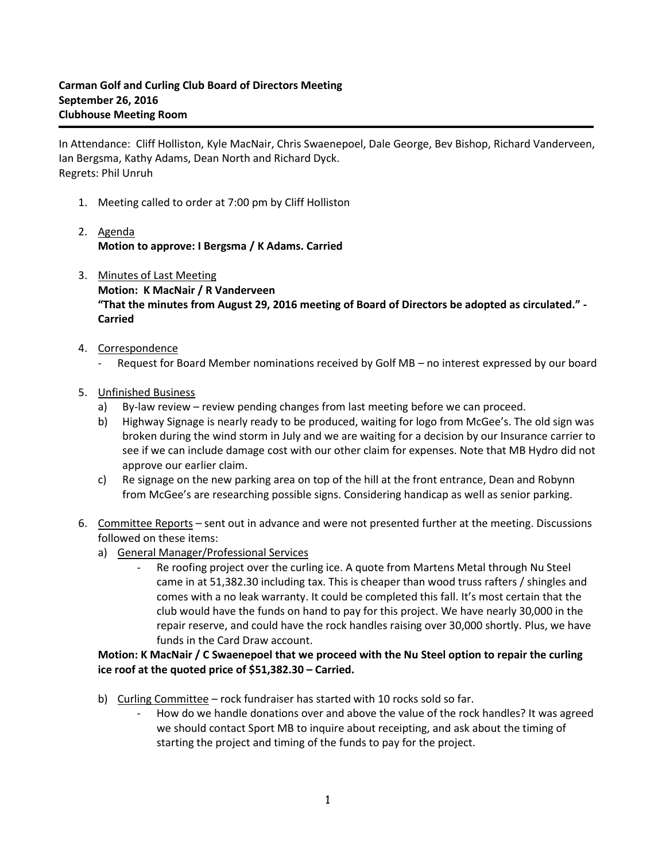In Attendance: Cliff Holliston, Kyle MacNair, Chris Swaenepoel, Dale George, Bev Bishop, Richard Vanderveen, Ian Bergsma, Kathy Adams, Dean North and Richard Dyck. Regrets: Phil Unruh

- 1. Meeting called to order at 7:00 pm by Cliff Holliston
- 2. Agenda **Motion to approve: I Bergsma / K Adams. Carried**
- 3. Minutes of Last Meeting **Motion: K MacNair / R Vanderveen "That the minutes from August 29, 2016 meeting of Board of Directors be adopted as circulated." - Carried**
- 4. Correspondence
	- Request for Board Member nominations received by Golf MB no interest expressed by our board
- 5. Unfinished Business
	- a) By-law review review pending changes from last meeting before we can proceed.
	- b) Highway Signage is nearly ready to be produced, waiting for logo from McGee's. The old sign was broken during the wind storm in July and we are waiting for a decision by our Insurance carrier to see if we can include damage cost with our other claim for expenses. Note that MB Hydro did not approve our earlier claim.
	- c) Re signage on the new parking area on top of the hill at the front entrance, Dean and Robynn from McGee's are researching possible signs. Considering handicap as well as senior parking.
- 6. Committee Reports sent out in advance and were not presented further at the meeting. Discussions followed on these items:
	- a) General Manager/Professional Services
		- Re roofing project over the curling ice. A quote from Martens Metal through Nu Steel came in at 51,382.30 including tax. This is cheaper than wood truss rafters / shingles and comes with a no leak warranty. It could be completed this fall. It's most certain that the club would have the funds on hand to pay for this project. We have nearly 30,000 in the repair reserve, and could have the rock handles raising over 30,000 shortly. Plus, we have funds in the Card Draw account.

## **Motion: K MacNair / C Swaenepoel that we proceed with the Nu Steel option to repair the curling ice roof at the quoted price of \$51,382.30 – Carried.**

- b) Curling Committee rock fundraiser has started with 10 rocks sold so far.
	- How do we handle donations over and above the value of the rock handles? It was agreed we should contact Sport MB to inquire about receipting, and ask about the timing of starting the project and timing of the funds to pay for the project.